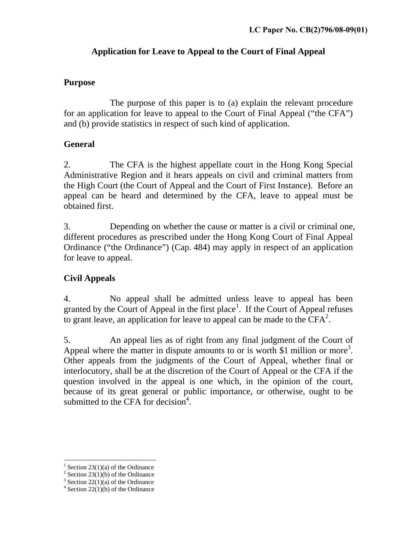## **Application for Leave to Appeal to the Court of Final Appeal**

#### **Purpose**

The purpose of this paper is to (a) explain the relevant procedure for an application for leave to appeal to the Court of Final Appeal ("the CFA") and (b) provide statistics in respect of such kind of application.

## **General**

2. The CFA is the highest appellate court in the Hong Kong Special Administrative Region and it hears appeals on civil and criminal matters from the High Court (the Court of Appeal and the Court of First Instance). Before an appeal can be heard and determined by the CFA, leave to appeal must be obtained first.

3. Depending on whether the cause or matter is a civil or criminal one, different procedures as prescribed under the Hong Kong Court of Final Appeal Ordinance ("the Ordinance") (Cap. 484) may apply in respect of an application for leave to appeal.

# **Civil Appeals**

4. No appeal shall be admitted unless leave to appeal has been granted by the Court of Appeal in the first place<sup>1</sup>. If the Court of Appeal refuses to grant leave, an application for leave to appeal can be made to the  $CFA^2$ .

5. An appeal lies as of right from any final judgment of the Court of Appeal where the matter in dispute amounts to or is worth \$1 million or more<sup>3</sup>. Other appeals from the judgments of the Court of Appeal, whether final or interlocutory, shall be at the discretion of the Court of Appeal or the CFA if the question involved in the appeal is one which, in the opinion of the court, because of its great general or public importance, or otherwise, ought to be submitted to the CFA for decision $4$ .

-

<sup>&</sup>lt;sup>1</sup> Section 23(1)(a) of the Ordinance

 $2$  Section 23(1)(b) of the Ordinance

 $3$  Section 22(1)(a) of the Ordinance

 $4$  Section 22(1)(b) of the Ordinance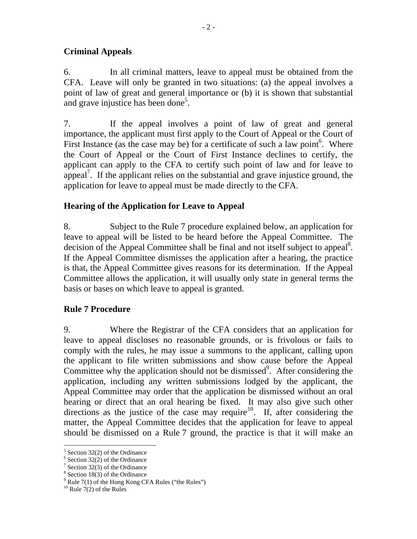#### **Criminal Appeals**

6. In all criminal matters, leave to appeal must be obtained from the CFA. Leave will only be granted in two situations: (a) the appeal involves a point of law of great and general importance or (b) it is shown that substantial and grave injustice has been done<sup>5</sup>.

7. If the appeal involves a point of law of great and general importance, the applicant must first apply to the Court of Appeal or the Court of First Instance (as the case may be) for a certificate of such a law point<sup>6</sup>. Where the Court of Appeal or the Court of First Instance declines to certify, the applicant can apply to the CFA to certify such point of law and for leave to appeal<sup>7</sup>. If the applicant relies on the substantial and grave injustice ground, the application for leave to appeal must be made directly to the CFA.

#### **Hearing of the Application for Leave to Appeal**

8. Subject to the Rule 7 procedure explained below, an application for leave to appeal will be listed to be heard before the Appeal Committee. The decision of the Appeal Committee shall be final and not itself subject to appeal<sup>8</sup>. If the Appeal Committee dismisses the application after a hearing, the practice is that, the Appeal Committee gives reasons for its determination. If the Appeal Committee allows the application, it will usually only state in general terms the basis or bases on which leave to appeal is granted.

## **Rule 7 Procedure**

9. Where the Registrar of the CFA considers that an application for leave to appeal discloses no reasonable grounds, or is frivolous or fails to comply with the rules, he may issue a summons to the applicant, calling upon the applicant to file written submissions and show cause before the Appeal Committee why the application should not be dismissed $9$ . After considering the application, including any written submissions lodged by the applicant, the Appeal Committee may order that the application be dismissed without an oral hearing or direct that an oral hearing be fixed. It may also give such other directions as the justice of the case may require<sup>10</sup>. If, after considering the matter, the Appeal Committee decides that the application for leave to appeal should be dismissed on a Rule 7 ground, the practice is that it will make an

-

<sup>5</sup> Section 32(2) of the Ordinance

 $6$  Section 32(2) of the Ordinance

<sup>7</sup> Section 32(3) of the Ordinance

<sup>8</sup> Section 18(3) of the Ordinance

 $9^9$  Rule 7(1) of the Hong Kong CFA Rules ("the Rules")

 $10$  Rule 7(2) of the Rules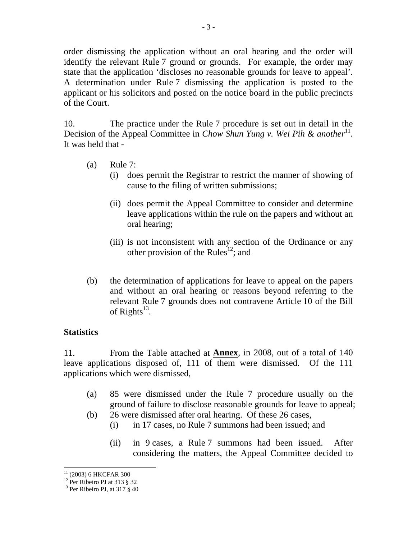order dismissing the application without an oral hearing and the order will identify the relevant Rule 7 ground or grounds. For example, the order may state that the application 'discloses no reasonable grounds for leave to appeal'. A determination under Rule 7 dismissing the application is posted to the applicant or his solicitors and posted on the notice board in the public precincts of the Court.

10. The practice under the Rule 7 procedure is set out in detail in the Decision of the Appeal Committee in *Chow Shun Yung v. Wei Pih & another*<sup>11</sup>. It was held that -

- (a) Rule 7:
	- (i) does permit the Registrar to restrict the manner of showing of cause to the filing of written submissions;
	- (ii) does permit the Appeal Committee to consider and determine leave applications within the rule on the papers and without an oral hearing;
	- (iii) is not inconsistent with any section of the Ordinance or any other provision of the Rules<sup>12</sup>; and
- (b) the determination of applications for leave to appeal on the papers and without an oral hearing or reasons beyond referring to the relevant Rule 7 grounds does not contravene Article 10 of the Bill of Rights<sup>13</sup>.

#### **Statistics**

11. From the Table attached at **Annex**, in 2008, out of a total of 140 leave applications disposed of, 111 of them were dismissed. Of the 111 applications which were dismissed,

- (a) 85 were dismissed under the Rule 7 procedure usually on the ground of failure to disclose reasonable grounds for leave to appeal;
- (b) 26 were dismissed after oral hearing. Of these 26 cases,
	- (i) in 17 cases, no Rule 7 summons had been issued; and
	- (ii) in 9 cases, a Rule 7 summons had been issued. After considering the matters, the Appeal Committee decided to

<sup>-</sup>(2003) 6 HKCFAR 300

 $12$  Per Ribeiro PJ at 313 § 32

 $13$  Per Ribeiro PJ, at 317 § 40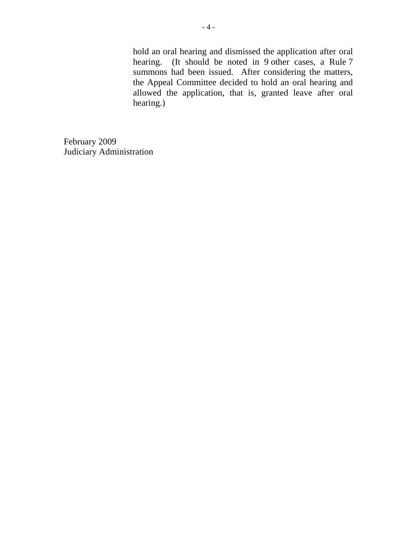hold an oral hearing and dismissed the application after oral hearing. (It should be noted in 9 other cases, a Rule 7 summons had been issued. After considering the matters, the Appeal Committee decided to hold an oral hearing and allowed the application, that is, granted leave after oral hearing.)

February 2009 Judiciary Administration